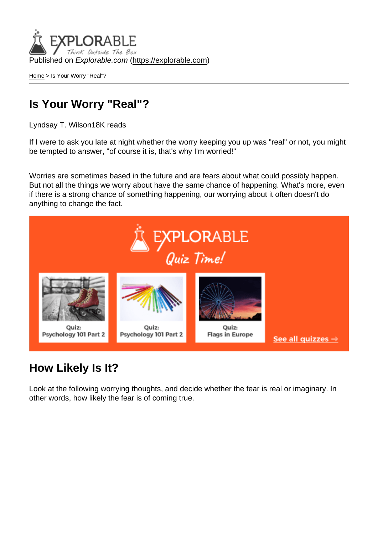Published on Explorable.com (<https://explorable.com>)

[Home](https://explorable.com/) > Is Your Worry "Real"?

## Is Your Worry "Real"?

Lyndsay T. Wilson18K reads

If I were to ask you late at night whether the worry keeping you up was "real" or not, you might be tempted to answer, "of course it is, that's why I'm worried!"

Worries are sometimes based in the future and are fears about what could possibly happen. But not all the things we worry about have the same chance of happening. What's more, even if there is a strong chance of something happening, our worrying about it often doesn't do anything to change the fact.

## How Likely Is It?

Look at the following worrying thoughts, and decide whether the fear is real or imaginary. In other words, how likely the fear is of coming true.